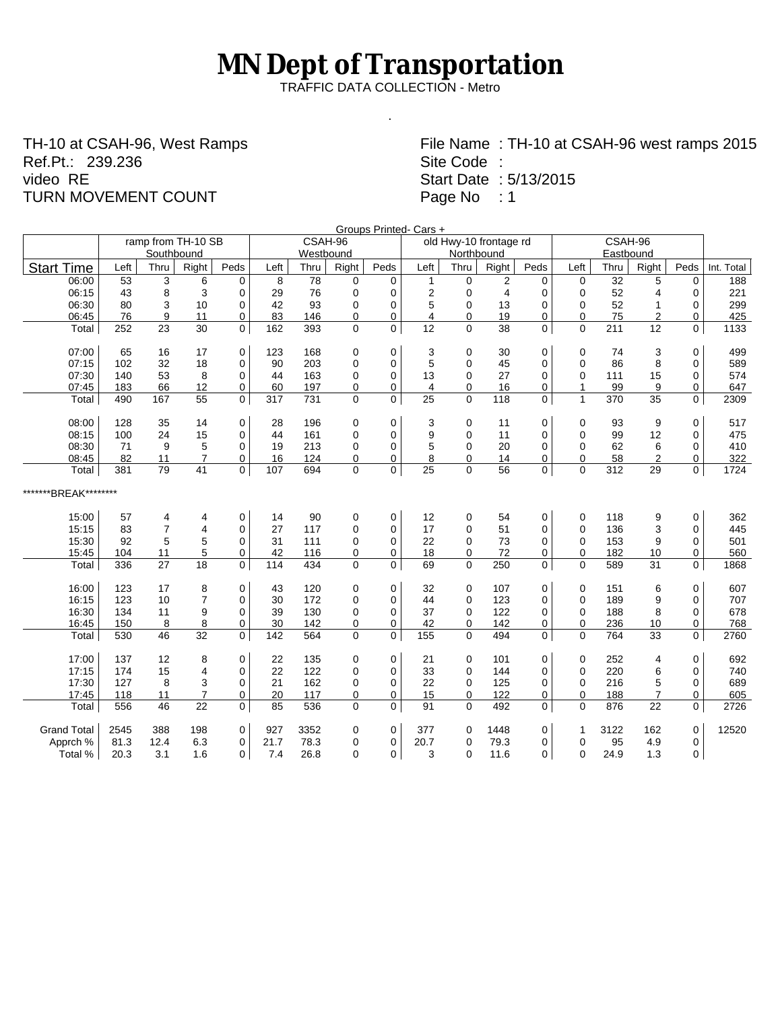## **MN Dept of Transportation**

TRAFFIC DATA COLLECTION - Metro

.

TH-10 at CSAH-96, West Ramps Ref.Pt.: 239.236 video RE TURN MOVEMENT COUNT

File Name : TH-10 at CSAH-96 west ramps 2015 Site Code : Start Date : 5/13/2015 Page No : 1

| Groups Printed- Cars + |      |                |                         |                |                                              |           |                |                |                |                |                |             |                |      |                |             |            |
|------------------------|------|----------------|-------------------------|----------------|----------------------------------------------|-----------|----------------|----------------|----------------|----------------|----------------|-------------|----------------|------|----------------|-------------|------------|
|                        |      |                | ramp from TH-10 SB      |                | CSAH-96<br>CSAH-96<br>old Hwy-10 frontage rd |           |                |                |                |                |                |             |                |      |                |             |            |
|                        |      | Southbound     |                         |                |                                              | Westbound |                |                |                | Northbound     |                |             |                |      |                |             |            |
| <b>Start Time</b>      | Left | Thru           | Right                   | Peds           | Left                                         | Thru      | Right          | Peds           | Left           | Thru           | Right          | Peds        | Left           | Thru | Right          | Peds        | Int. Total |
| 06:00                  | 53   | 3              | 6                       | $\mathbf 0$    | 8                                            | 78        | 0              | $\mathbf 0$    | 1              | $\mathbf 0$    | 2              | $\mathbf 0$ | $\mathbf 0$    | 32   | 5              | $\mathbf 0$ | 188        |
| 06:15                  | 43   | 8              | 3                       | $\mathbf 0$    | 29                                           | 76        | $\mathbf 0$    | $\Omega$       | $\overline{2}$ | $\mathbf 0$    | $\overline{4}$ | 0           | 0              | 52   | 4              | $\Omega$    | 221        |
| 06:30                  | 80   | 3              | 10                      | $\mathbf 0$    | 42                                           | 93        | 0              | 0              | 5              | $\mathbf 0$    | 13             | 0           | $\mathbf 0$    | 52   | $\mathbf{1}$   | 0           | 299        |
| 06:45                  | 76   | 9              | 11                      | $\mathbf 0$    | 83                                           | 146       | 0              | 0              | $\overline{4}$ | $\mathbf 0$    | 19             | 0           | $\mathbf 0$    | 75   | $\overline{2}$ | 0           | 425        |
| Total                  | 252  | 23             | 30                      | $\overline{0}$ | 162                                          | 393       | $\overline{0}$ | $\overline{0}$ | 12             | $\overline{0}$ | 38             | 0           | $\Omega$       | 211  | 12             | $\Omega$    | 1133       |
| 07:00                  | 65   | 16             | 17                      | 0              | 123                                          | 168       | 0              | 0              | 3              | 0              | 30             | 0           | 0              | 74   | 3              | $\mathbf 0$ | 499        |
| 07:15                  | 102  | 32             | 18                      | $\mathbf 0$    | 90                                           | 203       | 0              | 0              | 5              | $\mathbf 0$    | 45             | 0           | $\mathbf 0$    | 86   | 8              | 0           | 589        |
| 07:30                  | 140  | 53             | 8                       | $\mathbf 0$    | 44                                           | 163       | 0              | $\mathbf 0$    | 13             | $\mathbf 0$    | 27             | 0           | $\mathbf 0$    | 111  | 15             | $\mathbf 0$ | 574        |
| 07:45                  | 183  | 66             | 12                      | $\mathbf 0$    | 60                                           | 197       | 0              | $\mathbf 0$    | 4              | $\mathbf 0$    | 16             | 0           | $\overline{1}$ | 99   | 9              | 0           | 647        |
| Total                  | 490  | 167            | 55                      | $\mathbf 0$    | 317                                          | 731       | $\Omega$       | $\mathbf{0}$   | 25             | $\Omega$       | 118            | $\mathbf 0$ | $\mathbf{1}$   | 370  | 35             | 0           | 2309       |
| 08:00                  | 128  | 35             | 14                      | $\mathbf 0$    | 28                                           | 196       | 0              | 0              | 3              | $\mathbf 0$    | 11             | 0           | 0              | 93   | 9              | $\mathbf 0$ | 517        |
| 08:15                  | 100  | 24             | 15                      | $\Omega$       | 44                                           | 161       | 0              | 0              | 9              | $\Omega$       | 11             | 0           | $\Omega$       | 99   | 12             | 0           | 475        |
| 08:30                  | 71   | 9              | 5                       | $\mathbf 0$    | 19                                           | 213       | 0              | $\mathbf 0$    | 5              | $\mathbf 0$    | 20             | 0           | $\mathbf 0$    | 62   | 6              | $\mathbf 0$ | 410        |
| 08:45                  | 82   | 11             | $\overline{7}$          | $\mathbf 0$    | 16                                           | 124       | 0              | $\mathbf 0$    | 8              | $\mathbf 0$    | 14             | 0           | $\mathbf 0$    | 58   | $\overline{2}$ | 0           | 322        |
| Total                  | 381  | 79             | 41                      | $\mathbf 0$    | 107                                          | 694       | 0              | 0              | 25             | $\mathbf 0$    | 56             | 0           | $\Omega$       | 312  | 29             | 0           | 1724       |
| *******BREAK********   |      |                |                         |                |                                              |           |                |                |                |                |                |             |                |      |                |             |            |
| 15:00                  | 57   | 4              | 4                       | 0              | 14                                           | 90        | 0              | $\mathbf 0$    | 12             | 0              | 54             | 0           | 0              | 118  | 9              | $\mathbf 0$ | 362        |
| 15:15                  | 83   | $\overline{7}$ | 4                       | $\mathbf 0$    | 27                                           | 117       | 0              | 0              | 17             | $\mathbf 0$    | 51             | 0           | 0              | 136  | 3              | 0           | 445        |
| 15:30                  | 92   | 5              | 5                       | $\Omega$       | 31                                           | 111       | 0              | $\mathbf 0$    | 22             | $\mathbf 0$    | 73             | 0           | $\mathbf 0$    | 153  | 9              | $\mathbf 0$ | 501        |
| 15:45                  | 104  | 11             | 5                       | $\mathbf 0$    | 42                                           | 116       | 0              | 0              | 18             | 0              | 72             | 0           | $\mathbf 0$    | 182  | 10             | 0           | 560        |
| Total                  | 336  | 27             | 18                      | $\overline{0}$ | 114                                          | 434       | $\Omega$       | $\mathbf 0$    | 69             | $\overline{0}$ | 250            | 0           | $\Omega$       | 589  | 31             | 0           | 1868       |
| 16:00                  | 123  | 17             | 8                       | 0              | 43                                           | 120       | 0              | 0              | 32             | 0              | 107            | 0           | 0              | 151  | 6              | $\pmb{0}$   | 607        |
| 16:15                  | 123  | 10             | $\overline{7}$          | $\mathbf 0$    | 30                                           | 172       | 0              | 0              | 44             | $\mathbf 0$    | 123            | 0           | 0              | 189  | 9              | $\mathbf 0$ | 707        |
| 16:30                  | 134  | 11             | 9                       | $\Omega$       | 39                                           | 130       | 0              | $\mathbf 0$    | 37             | $\mathbf 0$    | 122            | 0           | $\mathbf 0$    | 188  | 8              | 0           | 678        |
| 16:45                  | 150  | 8              | 8                       | $\mathbf 0$    | 30                                           | 142       | 0              | 0              | 42             | $\mathbf 0$    | 142            | 0           | $\mathbf 0$    | 236  | 10             | 0           | 768        |
| Total                  | 530  | 46             | 32                      | $\mathbf 0$    | 142                                          | 564       | 0              | $\mathbf 0$    | 155            | 0              | 494            | 0           | $\mathbf 0$    | 764  | 33             | 0           | 2760       |
| 17:00                  | 137  | 12             | 8                       | 0              | 22                                           | 135       | 0              | 0              | 21             | 0              | 101            | 0           | 0              | 252  | 4              | $\mathbf 0$ | 692        |
| 17:15                  | 174  | 15             | $\overline{\mathbf{4}}$ | $\mathbf 0$    | 22                                           | 122       | 0              | $\Omega$       | 33             | $\Omega$       | 144            | 0           | $\mathbf 0$    | 220  | 6              | $\Omega$    | 740        |
| 17:30                  | 127  | 8              | 3                       | 0              | 21                                           | 162       | 0              | 0              | 22             | 0              | 125            | 0           | 0              | 216  | 5              | 0           | 689        |
| 17:45                  | 118  | 11             | $\overline{7}$          | 0              | 20                                           | 117       | 0              | 0              | 15             | $\pmb{0}$      | 122            | 0           | 0              | 188  | $\overline{7}$ | 0           | 605        |
| Total                  | 556  | 46             | 22                      | $\mathsf{O}$   | 85                                           | 536       | 0              | 0              | 91             | $\mathbf 0$    | 492            | 0           | $\Omega$       | 876  | 22             | 0           | 2726       |
| <b>Grand Total</b>     | 2545 | 388            | 198                     | 0              | 927                                          | 3352      | 0              | 0              | 377            | 0              | 1448           | 0           | $\overline{1}$ | 3122 | 162            | $\mathbf 0$ | 12520      |
| Apprch %               | 81.3 | 12.4           | 6.3                     | 0              | 21.7                                         | 78.3      | 0              | 0              | 20.7           | 0              | 79.3           | 0           | $\mathbf 0$    | 95   | 4.9            | 0           |            |
| Total %                | 20.3 | 3.1            | 1.6                     | $\mathbf 0$    | 7.4                                          | 26.8      | $\Omega$       | $\Omega$       | 3              | $\mathbf{0}$   | 11.6           | 0           | $\Omega$       | 24.9 | 1.3            | 0           |            |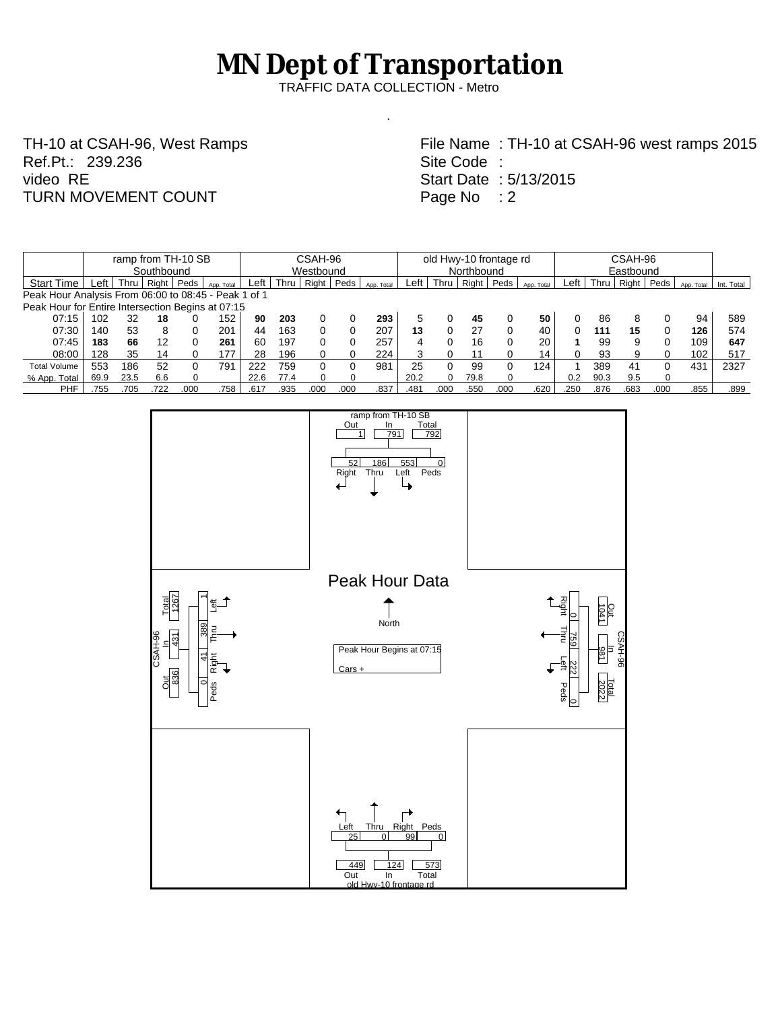## **MN Dept of Transportation**

TRAFFIC DATA COLLECTION - Metro

.

TH-10 at CSAH-96, West Ramps Ref.Pt.: 239.236 video RE TURN MOVEMENT COUNT

File Name : TH-10 at CSAH-96 west ramps 2015 Site Code : Start Date : 5/13/2015 Page No : 2

|                                                      | ramp from TH-10 SB |      |       |      |            |           | CSAH-96 |       |      |            |            | old Hwy-10 frontage rd |       |      |            |      |           | CSAH-96 |      |            |            |  |  |
|------------------------------------------------------|--------------------|------|-------|------|------------|-----------|---------|-------|------|------------|------------|------------------------|-------|------|------------|------|-----------|---------|------|------------|------------|--|--|
|                                                      | Southbound         |      |       |      |            | Westbound |         |       |      |            | Northbound |                        |       |      |            |      | Eastbound |         |      |            |            |  |  |
| <b>Start Time</b>                                    | _eft               | Thru | Right | Peds | App. Total | Left      | Thru    | Right | Peds | App. Total | ∟eft       | Thru                   | Right | Peds | App. Total | Left | Thru      | Right   | Peds | App. Total | Int. Total |  |  |
| Peak Hour Analysis From 06:00 to 08:45 - Peak 1 of 1 |                    |      |       |      |            |           |         |       |      |            |            |                        |       |      |            |      |           |         |      |            |            |  |  |
| Peak Hour for Entire Intersection Begins at 07:15    |                    |      |       |      |            |           |         |       |      |            |            |                        |       |      |            |      |           |         |      |            |            |  |  |
| 07:15                                                | 102                | 32   | 18    |      | 52         | 90        | 203     |       |      | 293        |            |                        | 45    |      | 50         |      | 86        | 8       |      | 94         | 589        |  |  |
| 07:30                                                | 140                | 53   | 8     |      | 201        | 44        | 163     |       |      | 207        | 13         |                        | 27    | 0    | 40         |      | 111       | 15      |      | 126        | 574        |  |  |
| 07:45                                                | 183                | 66   | 12    |      | 261        | 60        | 197     |       |      | 257        | 4          |                        | 16    | 0    | 20         |      | 99        | 9       | 0    | 109        | 647        |  |  |
| 08:00                                                | 28                 | 35   | 14    |      | 177        | 28        | 196     |       |      | 224        |            |                        |       |      | 14         |      | 93        | 9       | 0    | 102        | 517        |  |  |
| <b>Total Volume</b>                                  | 553                | 186  | 52    |      | 791        | 222       | 759     |       |      | 981        | 25         |                        | 99    | 0    | 124        |      | 389       | 41      | 0    | 431        | 2327       |  |  |
| % App. Total                                         | 69.9               | 23.5 | 6.6   |      |            | 22.6      | 77.4    |       |      |            | 20.2       |                        | 79.8  |      |            | 0.2  | 90.3      | 9.5     |      |            |            |  |  |
| <b>PHF</b>                                           | 755                | .705 | .722  | .000 | .758       | .617      | .935    | .000  | .000 | .837       | .481       | .000                   | .550  | .000 | .620       | .250 | 876       | .683    | .000 | 855        | .899       |  |  |